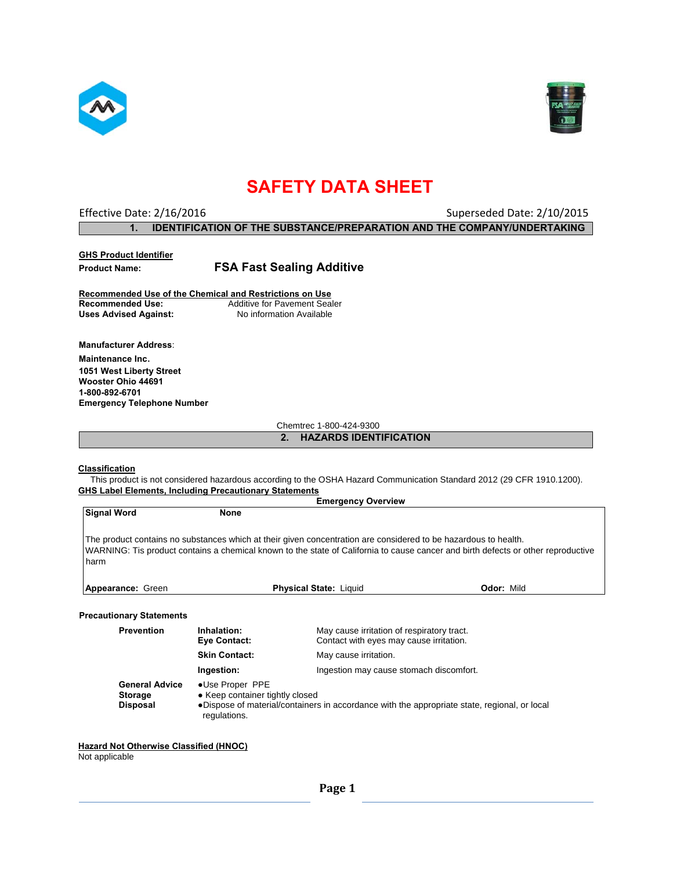



## **SAFETY DATA SHEET**

| Effective Date: 2/16/2016 | Superseded Date: 2/10/2015                                                     |
|---------------------------|--------------------------------------------------------------------------------|
|                           | <b>IDENTIFICATION OF THE SUBSTANCE/PREPARATION AND THE COMPANY/UNDERTAKING</b> |

| <b>GHS Product Identifier</b> |                                                         |
|-------------------------------|---------------------------------------------------------|
| <b>Product Name:</b>          | <b>FSA Fast Sealing Additive</b>                        |
|                               | Recommended Use of the Chemical and Restrictions on Use |

**Recommended Use:** Additive for Pavement Sealer<br>
Uses Advised Against: No information Available **Uses Advised Against:** 

**Manufacturer Address**: **Maintenance Inc**. **1051 West Liberty Street Wooster Ohio 44691 1-800-892-6701 Emergency Telephone Number** 

Chemtrec 1-800-424-9300

**2. HAZARDS IDENTIFICATION** 

#### **Classification**

 This product is not considered hazardous according to the OSHA Hazard Communication Standard 2012 (29 CFR 1910.1200). **GHS Label Elements, Including Precautionary Statements** 

|                                                                                                                                                                                                                           |                             | <b>Emergency Overview</b>                                                                                       |                                                                                                                                   |
|---------------------------------------------------------------------------------------------------------------------------------------------------------------------------------------------------------------------------|-----------------------------|-----------------------------------------------------------------------------------------------------------------|-----------------------------------------------------------------------------------------------------------------------------------|
| <b>Signal Word</b>                                                                                                                                                                                                        | <b>None</b>                 |                                                                                                                 |                                                                                                                                   |
| harm                                                                                                                                                                                                                      |                             | The product contains no substances which at their given concentration are considered to be hazardous to health. | WARNING: Tis product contains a chemical known to the state of California to cause cancer and birth defects or other reproductive |
| Appearance: Green                                                                                                                                                                                                         |                             | <b>Physical State: Liquid</b>                                                                                   | <b>Odor: Mild</b>                                                                                                                 |
| <b>Precautionary Statements</b>                                                                                                                                                                                           |                             |                                                                                                                 |                                                                                                                                   |
| <b>Prevention</b>                                                                                                                                                                                                         | Inhalation:<br>Eye Contact: | May cause irritation of respiratory tract.<br>Contact with eyes may cause irritation.                           |                                                                                                                                   |
|                                                                                                                                                                                                                           | <b>Skin Contact:</b>        | May cause irritation.                                                                                           |                                                                                                                                   |
|                                                                                                                                                                                                                           | Ingestion:                  | Ingestion may cause stomach discomfort.                                                                         |                                                                                                                                   |
| <b>General Advice</b><br>•Use Proper PPE<br>• Keep container tightly closed<br><b>Storage</b><br>•Dispose of material/containers in accordance with the appropriate state, regional, or local<br>Disposal<br>regulations. |                             |                                                                                                                 |                                                                                                                                   |

### **Hazard Not Otherwise Classified (HNOC)**

Not applicable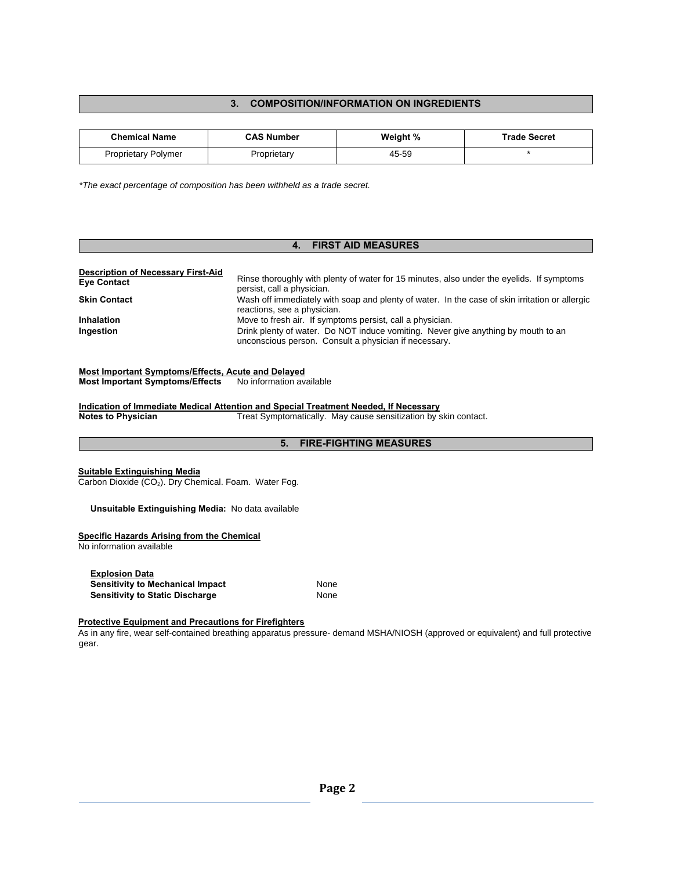## **3. COMPOSITION/INFORMATION ON INGREDIENTS**

| <b>Chemical Name</b>       | <b>CAS Number</b> | Weight % | <b>Trade Secret</b> |
|----------------------------|-------------------|----------|---------------------|
| <b>Proprietary Polymer</b> | Proprietary       | 45-59    |                     |

*\*The exact percentage of composition has been withheld as a trade secret.* 

#### **4. FIRST AID MEASURES**

| <b>Description of Necessary First-Aid</b> |                                                                                                                                            |
|-------------------------------------------|--------------------------------------------------------------------------------------------------------------------------------------------|
| <b>Eye Contact</b>                        | Rinse thoroughly with plenty of water for 15 minutes, also under the eyelids. If symptoms<br>persist, call a physician.                    |
| <b>Skin Contact</b>                       | Wash off immediately with soap and plenty of water. In the case of skin irritation or allergic<br>reactions, see a physician.              |
| <b>Inhalation</b>                         | Move to fresh air. If symptoms persist, call a physician.                                                                                  |
| Ingestion                                 | Drink plenty of water. Do NOT induce vomiting. Never give anything by mouth to an<br>unconscious person. Consult a physician if necessary. |

## **Most Important Symptoms/Effects, Acute and Delayed**

**Most Important Symptoms/Effects** No information available

**Indication of Immediate Medical Attention and Special Treatment Needed, If Necessary Notes to Physician** Treat Symptomatically. May cause sensitization by skin contact.

## **5. FIRE-FIGHTING MEASURES**

#### **Suitable Extinguishing Media**

Carbon Dioxide  $(CO<sub>2</sub>)$ . Dry Chemical. Foam. Water Fog.

#### **Unsuitable Extinguishing Media:** No data available

#### **Specific Hazards Arising from the Chemical**

No information available

| <b>Explosion Data</b>                   |      |
|-----------------------------------------|------|
| <b>Sensitivity to Mechanical Impact</b> | None |
| <b>Sensitivity to Static Discharge</b>  | None |

#### **Protective Equipment and Precautions for Firefighters**

As in any fire, wear self-contained breathing apparatus pressure- demand MSHA/NIOSH (approved or equivalent) and full protective gear.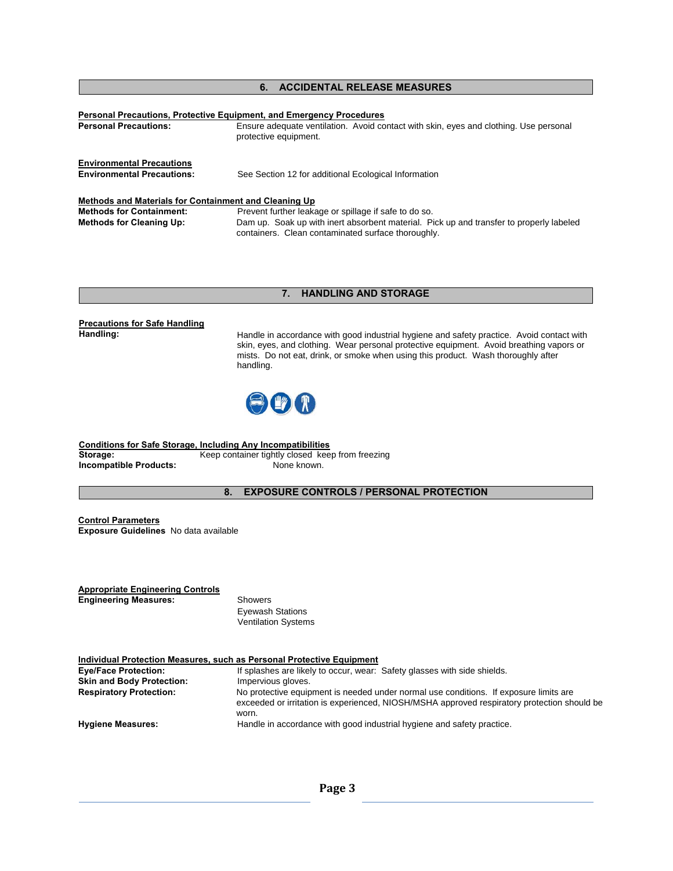## **6. ACCIDENTAL RELEASE MEASURES**

| <b>Personal Precautions:</b>                                          | <b>Personal Precautions, Protective Equipment, and Emergency Procedures</b><br>Ensure adequate ventilation. Avoid contact with skin, eyes and clothing. Use personal<br>protective equipment. |
|-----------------------------------------------------------------------|-----------------------------------------------------------------------------------------------------------------------------------------------------------------------------------------------|
| <b>Environmental Precautions</b><br><b>Environmental Precautions:</b> | See Section 12 for additional Ecological Information                                                                                                                                          |
| Methods and Materials for Containment and Cleaning Up                 |                                                                                                                                                                                               |
| <b>Methods for Containment:</b>                                       | Prevent further leakage or spillage if safe to do so.                                                                                                                                         |
| <b>Methods for Cleaning Up:</b>                                       | Dam up. Soak up with inert absorbent material. Pick up and transfer to properly labeled<br>containers. Clean contaminated surface thoroughly.                                                 |

### **7. HANDLING AND STORAGE**

# **Precautions for Safe Handling**

Handle in accordance with good industrial hygiene and safety practice. Avoid contact with skin, eyes, and clothing. Wear personal protective equipment. Avoid breathing vapors or mists. Do not eat, drink, or smoke when using this product. Wash thoroughly after handling.



**Conditions for Safe Storage, Including Any Incompatibilities Storage:** Keep container tightly closed keep from freezing **Incompatible Products:** None known.

**8. EXPOSURE CONTROLS / PERSONAL PROTECTION** 

**Control Parameters Exposure Guidelines** No data available

**Appropriate Engineering Controls Engineering Measures:** Showers

 Eyewash Stations Ventilation Systems

| Individual Protection Measures, such as Personal Protective Equipment |                                                                                                                                                                                               |  |
|-----------------------------------------------------------------------|-----------------------------------------------------------------------------------------------------------------------------------------------------------------------------------------------|--|
| <b>Eye/Face Protection:</b>                                           | If splashes are likely to occur, wear: Safety glasses with side shields.                                                                                                                      |  |
| <b>Skin and Body Protection:</b>                                      | Impervious gloves.                                                                                                                                                                            |  |
| <b>Respiratory Protection:</b>                                        | No protective equipment is needed under normal use conditions. If exposure limits are<br>exceeded or irritation is experienced, NIOSH/MSHA approved respiratory protection should be<br>worn. |  |
| <b>Hygiene Measures:</b>                                              | Handle in accordance with good industrial hygiene and safety practice.                                                                                                                        |  |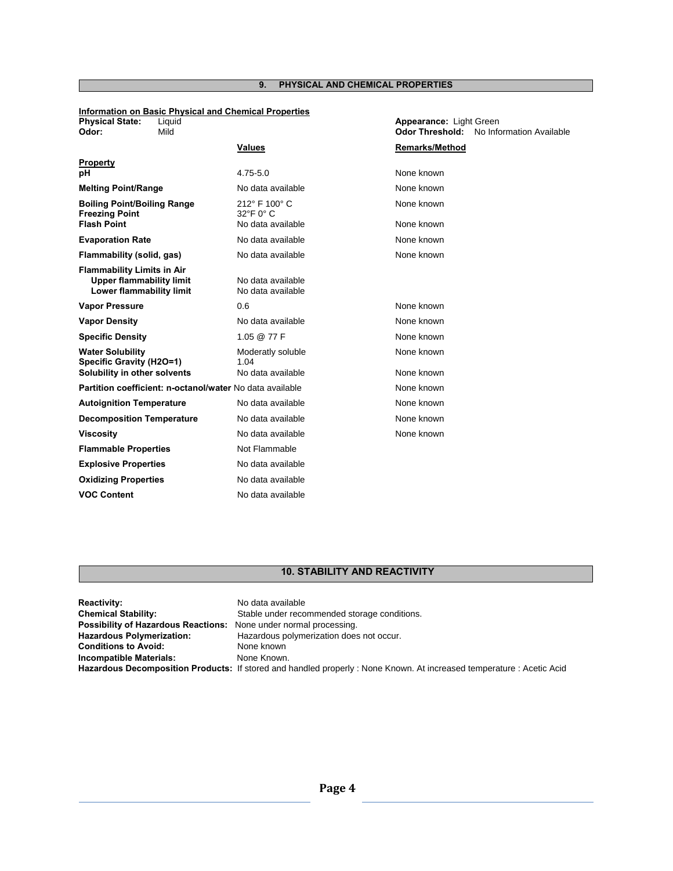## **9. PHYSICAL AND CHEMICAL PROPERTIES**

### **Information on Basic Physical and Chemical Properties**

**Physical State:** Liquid **Appearance:** Light Green

| Odor:                                                                                            | Mild                                                     |                                        | <b>Odor Threshold:</b> | No Information Available |
|--------------------------------------------------------------------------------------------------|----------------------------------------------------------|----------------------------------------|------------------------|--------------------------|
|                                                                                                  |                                                          | <b>Values</b>                          | <b>Remarks/Method</b>  |                          |
| <b>Property</b>                                                                                  |                                                          |                                        |                        |                          |
| рH                                                                                               |                                                          | $4.75 - 5.0$                           | None known             |                          |
| <b>Melting Point/Range</b>                                                                       |                                                          | No data available                      | None known             |                          |
| <b>Boiling Point/Boiling Range</b><br><b>Freezing Point</b>                                      |                                                          | 212° F 100° C<br>32°F 0° C             | None known             |                          |
| <b>Flash Point</b>                                                                               |                                                          | No data available                      | None known             |                          |
| <b>Evaporation Rate</b>                                                                          |                                                          | No data available                      | None known             |                          |
| Flammability (solid, gas)                                                                        |                                                          | No data available                      | None known             |                          |
| <b>Flammability Limits in Air</b><br><b>Upper flammability limit</b><br>Lower flammability limit |                                                          | No data available<br>No data available |                        |                          |
| <b>Vapor Pressure</b>                                                                            |                                                          | 0.6                                    | None known             |                          |
| <b>Vapor Density</b>                                                                             |                                                          | No data available                      | None known             |                          |
| <b>Specific Density</b>                                                                          |                                                          | 1.05 @ 77 F                            | None known             |                          |
| <b>Water Solubility</b><br>Specific Gravity (H2O=1)                                              |                                                          | Moderatly soluble<br>1.04              | None known             |                          |
| Solubility in other solvents                                                                     |                                                          | No data available                      | None known             |                          |
|                                                                                                  | Partition coefficient: n-octanol/water No data available |                                        | None known             |                          |
| <b>Autoignition Temperature</b>                                                                  |                                                          | No data available                      | None known             |                          |
| <b>Decomposition Temperature</b>                                                                 |                                                          | No data available                      | None known             |                          |
| <b>Viscosity</b>                                                                                 |                                                          | No data available                      | None known             |                          |
| <b>Flammable Properties</b>                                                                      |                                                          | Not Flammable                          |                        |                          |
| <b>Explosive Properties</b>                                                                      |                                                          | No data available                      |                        |                          |
| <b>Oxidizing Properties</b>                                                                      |                                                          | No data available                      |                        |                          |
| <b>VOC Content</b>                                                                               |                                                          | No data available                      |                        |                          |

## **10. STABILITY AND REACTIVITY**

| <b>Reactivity:</b>                                                       | No data available                                                                                                   |
|--------------------------------------------------------------------------|---------------------------------------------------------------------------------------------------------------------|
| <b>Chemical Stability:</b>                                               | Stable under recommended storage conditions.                                                                        |
| <b>Possibility of Hazardous Reactions:</b> None under normal processing. |                                                                                                                     |
| <b>Hazardous Polymerization:</b>                                         | Hazardous polymerization does not occur.                                                                            |
| <b>Conditions to Avoid:</b>                                              | None known                                                                                                          |
| Incompatible Materials:                                                  | None Known.                                                                                                         |
|                                                                          | Hazardous Decomposition Products: If stored and handled properly: None Known. At increased temperature: Acetic Acid |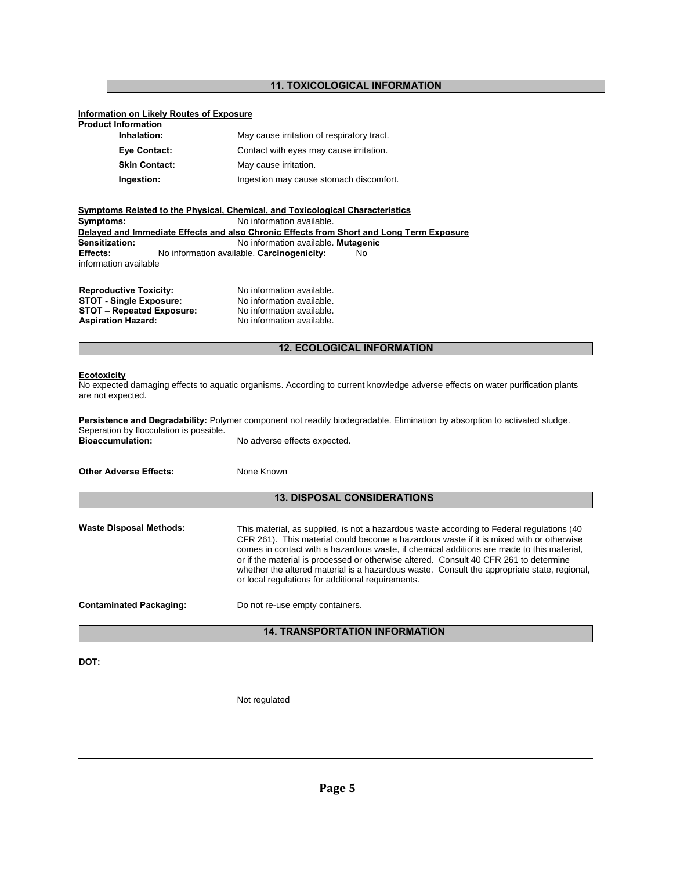## **11. TOXICOLOGICAL INFORMATION**

## **Information on Likely Routes of Exposure**

| <b>Product Information</b> |                                            |
|----------------------------|--------------------------------------------|
| Inhalation:                | May cause irritation of respiratory tract. |
| Eye Contact:               | Contact with eyes may cause irritation.    |
| <b>Skin Contact:</b>       | May cause irritation.                      |
| Ingestion:                 | Ingestion may cause stomach discomfort.    |

|                       | Symptoms Related to the Physical, Chemical, and Toxicological Characteristics            |
|-----------------------|------------------------------------------------------------------------------------------|
| Symptoms:             | No information available.                                                                |
|                       | Delayed and Immediate Effects and also Chronic Effects from Short and Long Term Exposure |
| Sensitization:        | No information available. Mutagenic                                                      |
| <b>Effects:</b>       | No information available. Carcinogenicity:<br>No.                                        |
| information available |                                                                                          |
|                       |                                                                                          |
|                       |                                                                                          |

| <b>Reproductive Toxicity:</b>    | No information available. |
|----------------------------------|---------------------------|
| <b>STOT - Single Exposure:</b>   | No information available. |
| <b>STOT - Repeated Exposure:</b> | No information available. |
| <b>Aspiration Hazard:</b>        | No information available. |

## **12. ECOLOGICAL INFORMATION**

#### **Ecotoxicity**

No expected damaging effects to aquatic organisms. According to current knowledge adverse effects on water purification plants are not expected.

| Seperation by flocculation is possible. | Persistence and Degradability: Polymer component not readily biodegradable. Elimination by absorption to activated sludge. |  |  |
|-----------------------------------------|----------------------------------------------------------------------------------------------------------------------------|--|--|
| <b>Bioaccumulation:</b>                 | No adverse effects expected.                                                                                               |  |  |
| <b>Other Adverse Effects:</b>           | None Known                                                                                                                 |  |  |
| <b>13. DISPOSAL CONSIDERATIONS</b>      |                                                                                                                            |  |  |

| <b>Waste Disposal Methods:</b> | This material, as supplied, is not a hazardous waste according to Federal regulations (40)<br>CFR 261). This material could become a hazardous waste if it is mixed with or otherwise<br>comes in contact with a hazardous waste, if chemical additions are made to this material,<br>or if the material is processed or otherwise altered. Consult 40 CFR 261 to determine<br>whether the altered material is a hazardous waste. Consult the appropriate state, regional,<br>or local regulations for additional requirements. |
|--------------------------------|---------------------------------------------------------------------------------------------------------------------------------------------------------------------------------------------------------------------------------------------------------------------------------------------------------------------------------------------------------------------------------------------------------------------------------------------------------------------------------------------------------------------------------|
| <b>Contaminated Packaging:</b> | Do not re-use empty containers.                                                                                                                                                                                                                                                                                                                                                                                                                                                                                                 |

## **14. TRANSPORTATION INFORMATION**

**DOT:** 

Not regulated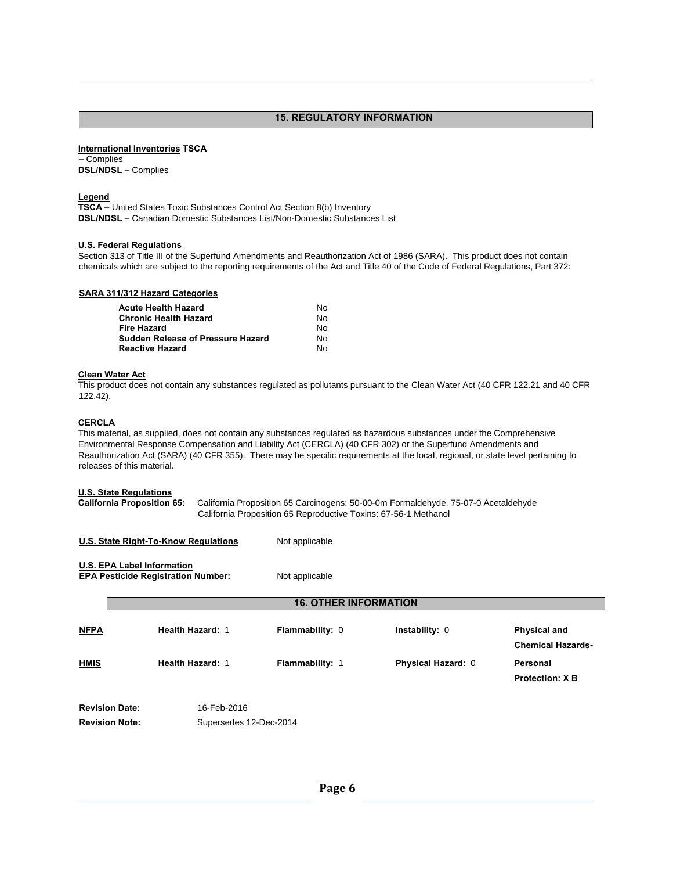#### **15. REGULATORY INFORMATION**

#### **International Inventories TSCA**

**–** Complies **DSL/NDSL –** Complies

#### **Legend**

**TSCA –** United States Toxic Substances Control Act Section 8(b) Inventory **DSL/NDSL –** Canadian Domestic Substances List/Non-Domestic Substances List

#### **U.S. Federal Regulations**

Section 313 of Title III of the Superfund Amendments and Reauthorization Act of 1986 (SARA). This product does not contain chemicals which are subject to the reporting requirements of the Act and Title 40 of the Code of Federal Regulations, Part 372:

|  | <b>SARA 311/312 Hazard Categories</b> |
|--|---------------------------------------|
|  |                                       |

| <b>Acute Health Hazard</b>               | N٥  |
|------------------------------------------|-----|
| <b>Chronic Health Hazard</b>             | No. |
| <b>Fire Hazard</b>                       | No. |
| <b>Sudden Release of Pressure Hazard</b> | No. |
| <b>Reactive Hazard</b>                   | No. |

#### **Clean Water Act**

This product does not contain any substances regulated as pollutants pursuant to the Clean Water Act (40 CFR 122.21 and 40 CFR 122.42).

## **CERCLA**

This material, as supplied, does not contain any substances regulated as hazardous substances under the Comprehensive Environmental Response Compensation and Liability Act (CERCLA) (40 CFR 302) or the Superfund Amendments and Reauthorization Act (SARA) (40 CFR 355). There may be specific requirements at the local, regional, or state level pertaining to releases of this material.

#### **U.S. State Regulations**

**California Proposition 65:** California Proposition 65 Carcinogens: 50-00-0m Formaldehyde, 75-07-0 Acetaldehyde California Proposition 65 Reproductive Toxins: 67-56-1 Methanol

| U.S. State Right-To-Know Regulations                                           |                              | Not applicable         |                           |                                                 |  |  |  |
|--------------------------------------------------------------------------------|------------------------------|------------------------|---------------------------|-------------------------------------------------|--|--|--|
| <b>U.S. EPA Label Information</b><br><b>EPA Pesticide Registration Number:</b> |                              | Not applicable         |                           |                                                 |  |  |  |
|                                                                                | <b>16. OTHER INFORMATION</b> |                        |                           |                                                 |  |  |  |
| <b>NFPA</b>                                                                    | Health Hazard: 1             | <b>Flammability: 0</b> | Instability: 0            | <b>Physical and</b><br><b>Chemical Hazards-</b> |  |  |  |
| <b>HMIS</b>                                                                    | <b>Health Hazard: 1</b>      | <b>Flammability: 1</b> | <b>Physical Hazard: 0</b> | Personal<br><b>Protection: X B</b>              |  |  |  |
| <b>Revision Date:</b>                                                          | 16-Feb-2016                  |                        |                           |                                                 |  |  |  |

**Revision Note:** Supersedes 12-Dec-2014